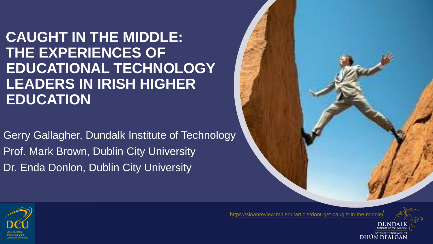**CAUGHT IN THE MIDDLE: THE EXPERIENCES OF EDUCATIONAL TECHNOLOGY LEADERS IN IRISH HIGHER EDUCATION**

Gerry Gallagher, Dundalk Institute of Technology Prof. Mark Brown, Dublin City University Dr. Enda Donlon, Dublin City University



[https://sloanreview.mit.edu/article/dont-get-caught-in-the-middle](https://sloanreview.mit.edu/article/dont-get-caught-in-the-middle/)/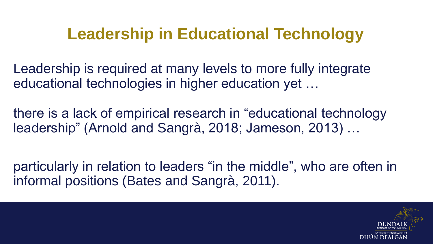## **Leadership in Educational Technology**

Leadership is required at many levels to more fully integrate educational technologies in higher education yet …

there is a lack of empirical research in "educational technology leadership" (Arnold and Sangrà, 2018; Jameson, 2013) …

particularly in relation to leaders "in the middle", who are often in informal positions (Bates and Sangrà, 2011).

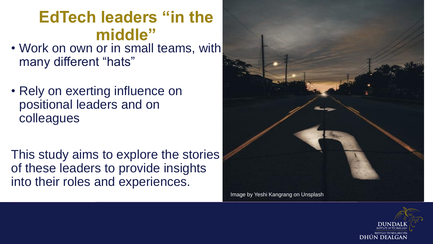### **EdTech leaders "in the middle"**

- Work on own or in small teams, with many different "hats"
- Rely on exerting influence on positional leaders and on colleagues

This study aims to explore the stories of these leaders to provide insights into their roles and experiences.



Image by Yeshi Kangrang on Unsplash

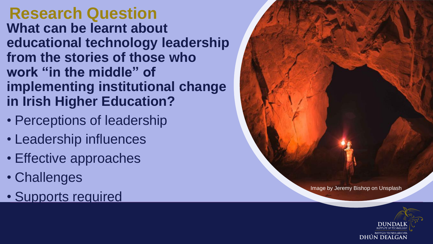#### **Research Question What can be learnt about educational technology leadership from the stories of those who work "in the middle" of implementing institutional change in Irish Higher Education?**

- Perceptions of leadership
- Leadership influences
- Effective approaches
- Challenges
- Supports required



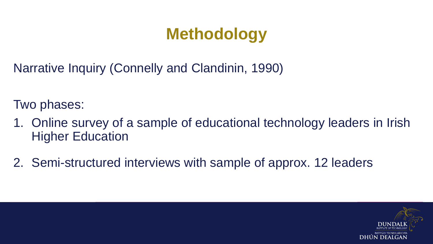## **Methodology**

Narrative Inquiry (Connelly and Clandinin, 1990)

Two phases:

- 1. Online survey of a sample of educational technology leaders in Irish Higher Education
- 2. Semi-structured interviews with sample of approx. 12 leaders

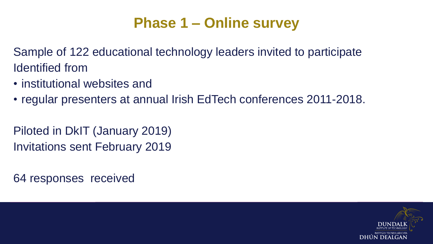#### **Phase 1 – Online survey**

Sample of 122 educational technology leaders invited to participate Identified from

- institutional websites and
- regular presenters at annual Irish EdTech conferences 2011-2018.

Piloted in DkIT (January 2019) Invitations sent February 2019

64 responses received

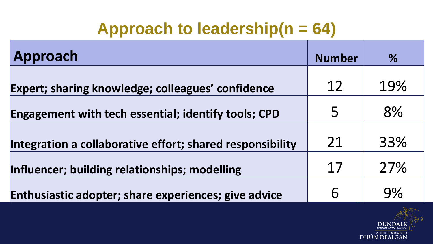## **Approach to leadership(n = 64)**

| Approach                                                  | <b>Number</b> | %   |
|-----------------------------------------------------------|---------------|-----|
| Expert; sharing knowledge; colleagues' confidence         | 12            | 19% |
| Engagement with tech essential; identify tools; CPD       | 5             | 8%  |
| Integration a collaborative effort; shared responsibility | 21            | 33% |
| Influencer; building relationships; modelling             | 17            | 27% |
| Enthusiastic adopter; share experiences; give advice      | 6             | 9%  |

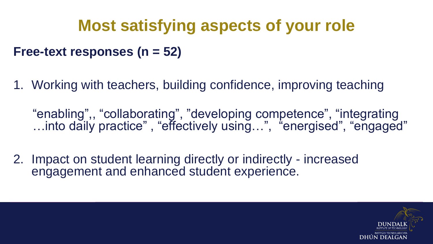# **Most satisfying aspects of your role**

#### **Free-text responses (n = 52)**

1. Working with teachers, building confidence, improving teaching

"enabling",, "collaborating", "developing competence", "integrating …into daily practice" , "effectively using…", "energised", "engaged"

2. Impact on student learning directly or indirectly - increased engagement and enhanced student experience.

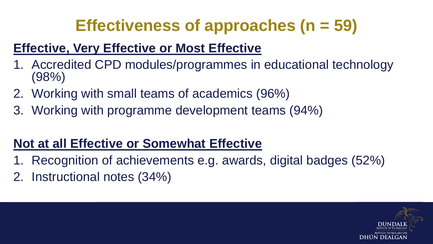# **Effectiveness of approaches (n = 59)**

#### **Effective, Very Effective or Most Effective**

- 1. Accredited CPD modules/programmes in educational technology (98%)
- 2. Working with small teams of academics (96%)
- 3. Working with programme development teams (94%)

#### **Not at all Effective or Somewhat Effective**

- Recognition of achievements e.g. awards, digital badges (52%)
- 2. Instructional notes (34%)

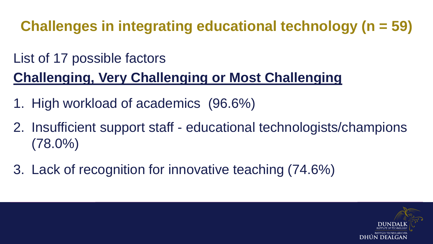**Challenges in integrating educational technology (n = 59)**

### List of 17 possible factors **Challenging, Very Challenging or Most Challenging**

- 1. High workload of academics (96.6%)
- 2. Insufficient support staff educational technologists/champions (78.0%)
- 3. Lack of recognition for innovative teaching (74.6%)

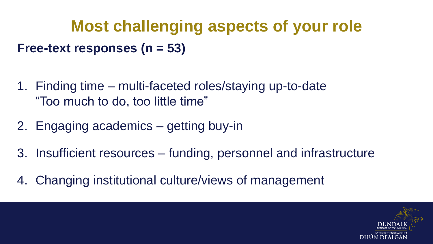# **Most challenging aspects of your role Free-text responses (n = 53)**

- 1. Finding time multi-faceted roles/staying up-to-date "Too much to do, too little time"
- 2. Engaging academics getting buy-in
- 3. Insufficient resources funding, personnel and infrastructure
- 4. Changing institutional culture/views of management

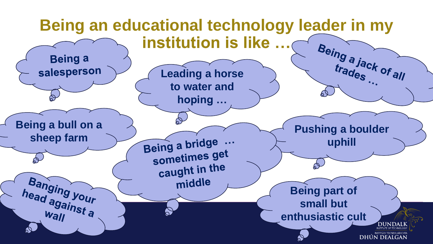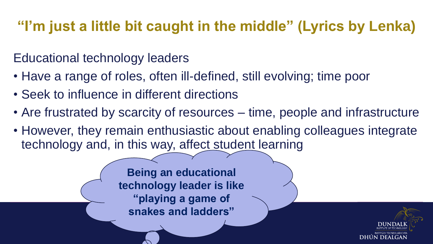### **"I'm just a little bit caught in the middle" (Lyrics by Lenka)**

#### Educational technology leaders

- Have a range of roles, often ill-defined, still evolving; time poor
- Seek to influence in different directions
- Are frustrated by scarcity of resources time, people and infrastructure
- However, they remain enthusiastic about enabling colleagues integrate technology and, in this way, affect student learning

**Being an educational technology leader is like "playing a game of snakes and ladders"**